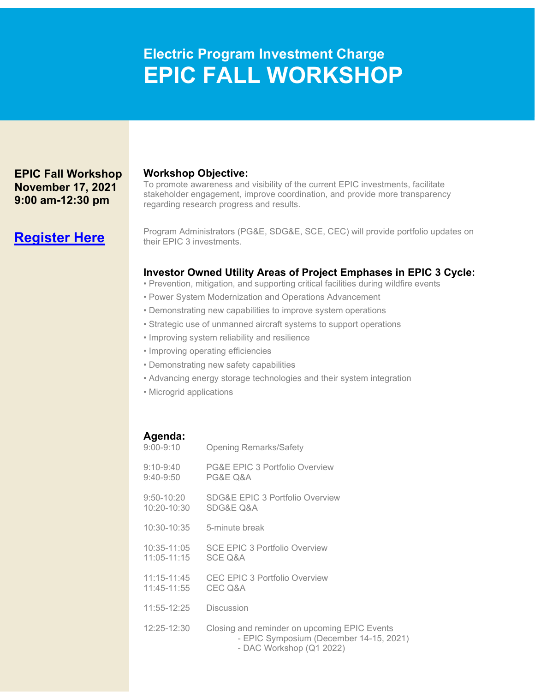# Electric Program Investment Charge EPIC FALL WORKSHOP

 EPIC Fall Workshop November 17, 2021 9:00 am-12:30 pm

#### Workshop Objective:

 stakeholder engagement, improve coordination, and provide more transparency regarding research progress and results. To promote awareness and visibility of the current EPIC investments, facilitate

**Register Here** 

 Program Administrators (PG&E, SDG&E, SCE, CEC) will provide portfolio updates on their EPIC 3 investments.

#### Investor Owned Utility Areas of Project Emphases in EPIC 3 Cycle:

- Prevention, mitigation, and supporting critical facilities during wildfire events
- Power System Modernization and Operations Advancement
- Demonstrating new capabilities to improve system operations
- Strategic use of unmanned aircraft systems to support operations
- Improving system reliability and resilience
- Improving operating efficiencies
- Demonstrating new safety capabilities
- Advancing energy storage technologies and their system integration
- Microgrid applications

#### Agenda:

| $9:00 - 9:10$  | <b>Opening Remarks/Safety</b>                                                                                       |
|----------------|---------------------------------------------------------------------------------------------------------------------|
| $9:10-9:40$    | <b>PG&amp;E EPIC 3 Portfolio Overview</b>                                                                           |
| $9:40-9:50$    | PG&E Q&A                                                                                                            |
| $9:50 - 10:20$ | <b>SDG&amp;E EPIC 3 Portfolio Overview</b>                                                                          |
| 10:20-10:30    | SDG&E Q&A                                                                                                           |
| 10:30-10:35    | 5-minute break                                                                                                      |
| 10:35-11:05    | SCE EPIC 3 Portfolio Overview                                                                                       |
| 11:05-11:15    | SCE Q&A                                                                                                             |
| 11:15-11:45    | CEC EPIC 3 Portfolio Overview                                                                                       |
| 11:45-11:55    | CEC Q&A                                                                                                             |
| 11:55-12:25    | <b>Discussion</b>                                                                                                   |
| 12:25-12:30    | Closing and reminder on upcoming EPIC Events<br>- EPIC Symposium (December 14-15, 2021)<br>- DAC Workshop (Q1 2022) |